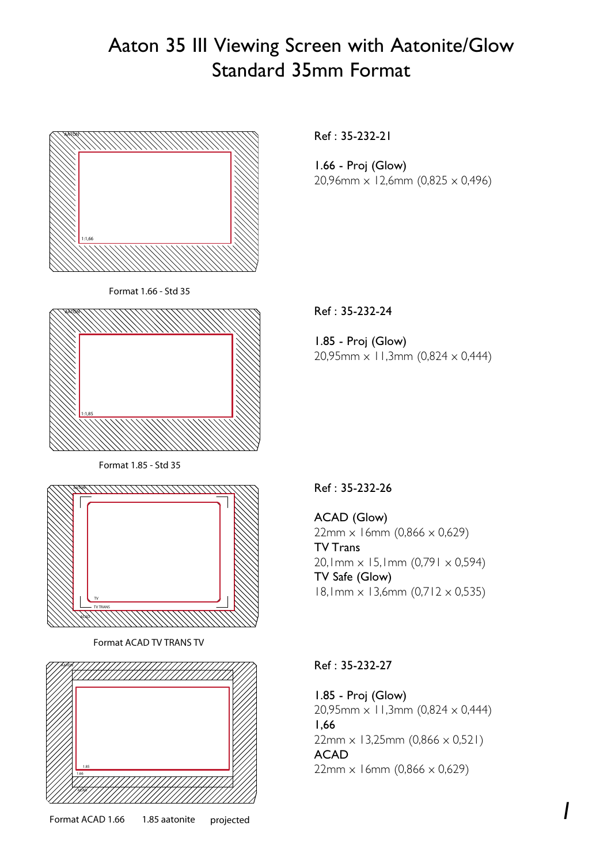## Aaton 35 III Viewing Screen with Aatonite/Glow Standard 35mm Format



Ref : 35-232-21

1.66 - Proj (Glow) 20,96mm x 12,6mm (0,825 x 0,496)

Ref : 35-232-24

1.85 - Proj (Glow) 20,95mm  $\times$  11,3mm (0,824  $\times$  0,444)



Format ACAD TV TRANS TV



## Ref : 35-232-26

ACAD (Glow) 22mm x 16mm (0,866 x 0,629) TV Trans 20,1mm  $\times$  15,1mm (0,791  $\times$  0,594) TV Safe (Glow) 18,1mm x 13,6mm (0,712 x 0,535)

## Ref : 35-232-27

1.85 - Proj (Glow) 20,95mm x 11,3mm (0,824 x 0,444) 1,66 22mm x 13,25mm (0,866 x 0,521) ACAD  $22mm \times 16mm$  (0,866  $\times$  0,629)

*1*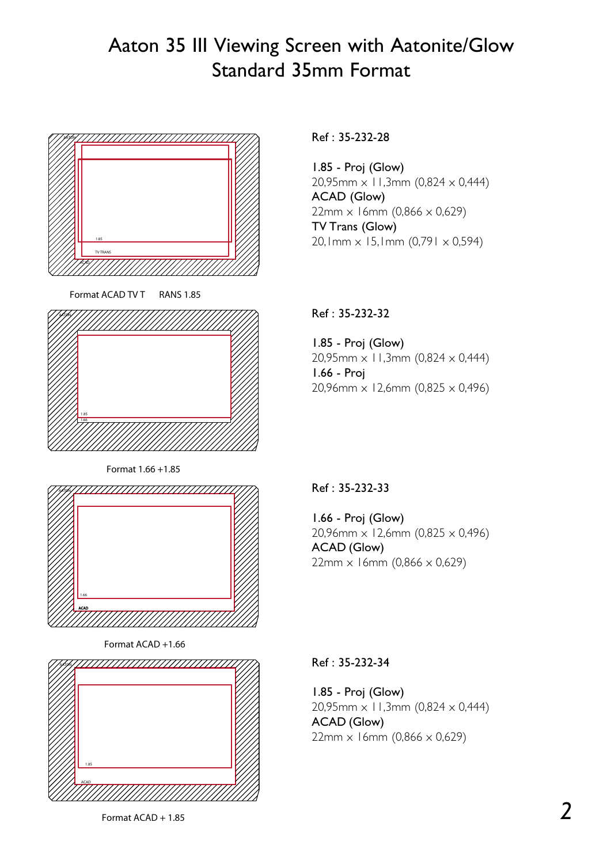## Aaton 35 III Viewing Screen with Aatonite/Glow Standard 35mm Format



Format ACAD TV T RANS 1.85



Format 1.66 +1.85



Format ACAD +1.66



Ref : 35-232-28

1.85 - Proj (Glow) 20,95mm x 11,3mm (0,824 x 0,444) ACAD (Glow)  $22mm \times 16mm (0,866 \times 0,629)$ TV Trans (Glow) 20,1mm  $\times$  15,1mm (0,791  $\times$  0,594)

## Ref : 35-232-32

1.85 - Proj (Glow) 20,95mm x 11,3mm (0,824 x 0,444) 1.66 - Proj 20,96mm  $\times$  12,6mm (0,825  $\times$  0,496)

## Ref : 35-232-33

1.66 - Proj (Glow) 20,96mm x 12,6mm (0,825 x 0,496) ACAD (Glow)  $22mm \times 16mm$  (0,866  $\times$  0,629)

#### Ref : 35-232-34

1.85 - Proj (Glow)  $20,95$ mm  $\times$  11,3mm (0,824  $\times$  0,444) ACAD (Glow)  $22mm \times 16mm$  (0,866  $\times$  0,629)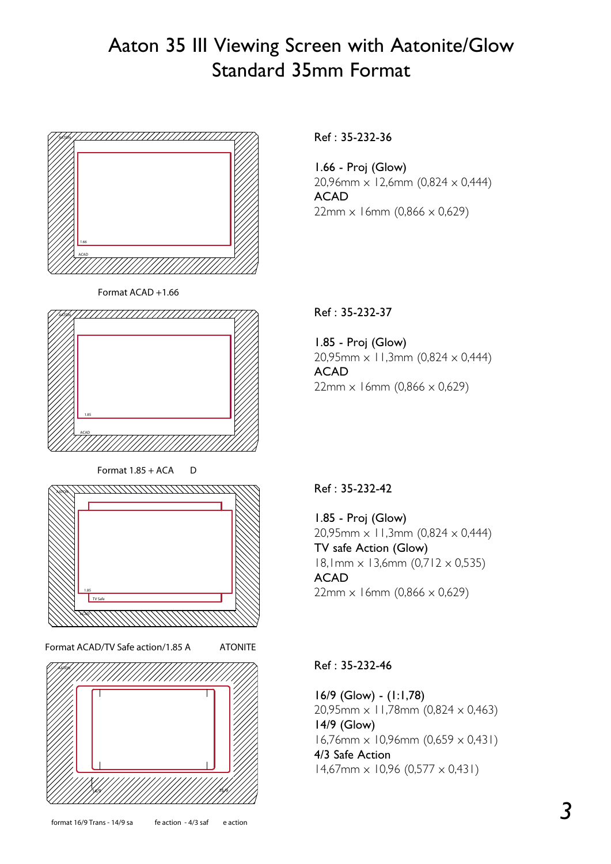## Aaton 35 III Viewing Screen with Aatonite/Glow Standard 35mm Format



Format ACAD +1.66



Format  $1.85 + ACA$  D



Format ACAD/TV Safe action/1.85 A ATONITE



Ref : 35-232-36

1.66 - Proj (Glow) 20,96mm x 12,6mm (0,824 x 0,444) ACAD  $22mm \times 16mm$  (0,866  $\times$  0,629)

### Ref : 35-232-37

1.85 - Proj (Glow) 20,95mm x 11,3mm (0,824 x 0,444) ACAD  $22mm \times 16mm$  (0,866  $\times$  0,629)

#### Ref : 35-232-42

1.85 - Proj (Glow) 20,95mm x 11,3mm (0,824 x 0,444) TV safe Action (Glow) 18,1mm x 13,6mm (0,712 x 0,535) ACAD  $22mm \times 16mm$  (0,866  $\times$  0,629)

#### Ref : 35-232-46

16/9 (Glow) - (1:1,78) 20,95mm x 11,78mm (0,824 x 0,463) 14/9 (Glow)  $16,76$ mm  $\times$  10,96mm (0,659  $\times$  0,431) 4/3 Safe Action  $14,67$ mm  $\times$  10,96 (0,577  $\times$  0,431)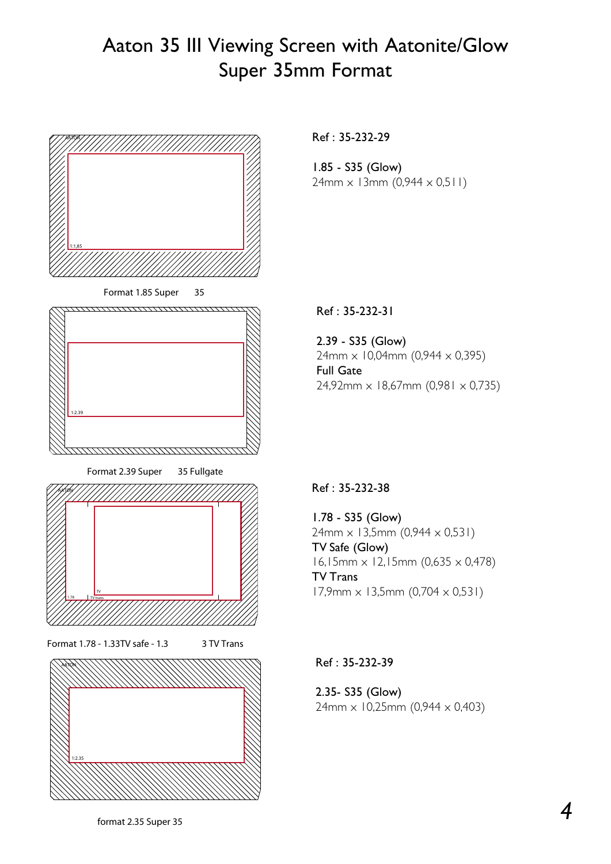## Aaton 35 III Viewing Screen with Aatonite/Glow Super 35mm Format



Ref : 35-232-29

1.85 - S35 (Glow)  $24mm \times 13mm (0,944 \times 0,511)$ 

Ref : 35-232-31

2.39 - S35 (Glow)  $24mm \times 10,04mm$  (0,944  $\times$  0,395) Full Gate 24,92mm x 18,67mm (0,981 x 0,735)

#### Ref : 35-232-38

1.78 - S35 (Glow)  $24mm \times 13,5mm (0,944 \times 0,531)$ TV Safe (Glow) 16,15mm x 12,15mm (0,635 x 0,478) TV Trans  $17,9$ mm  $\times$  13,5mm (0,704  $\times$  0,531)

Ref : 35-232-39

2.35- S35 (Glow)  $24mm \times 10,25mm$  (0,944  $\times$  0,403)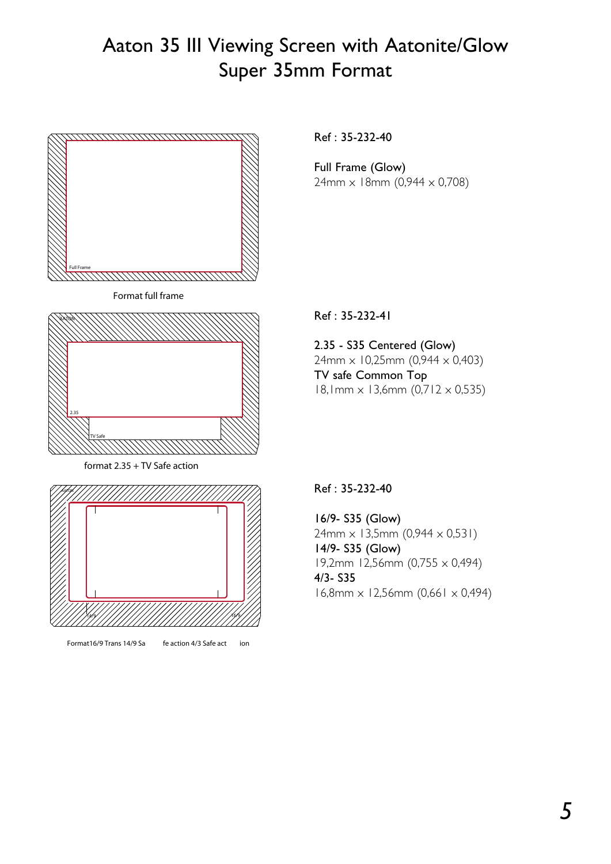# Aaton 35 III Viewing Screen with Aatonite/Glow Super 35mm Format



Format16/9 Trans 14/9 Sa fe action 4/3 Safe act ion

Ref : 35-232-40

Full Frame (Glow)  $24mm \times 18mm$  (0,944  $\times$  0,708)

Ref : 35-232-41

2.35 - S35 Centered (Glow)  $24$ mm  $\times$  10,25mm (0,944  $\times$  0,403) TV safe Common Top 18,1mm x 13,6mm (0,712 x 0,535)

Ref : 35-232-40

16/9- S35 (Glow)  $24mm \times 13,5mm (0,944 \times 0,531)$ 14/9- S35 (Glow) 19,2mm 12,56mm (0,755 x 0,494) 4/3- S35  $16,8$ mm  $\times$  12,56mm (0,661  $\times$  0,494)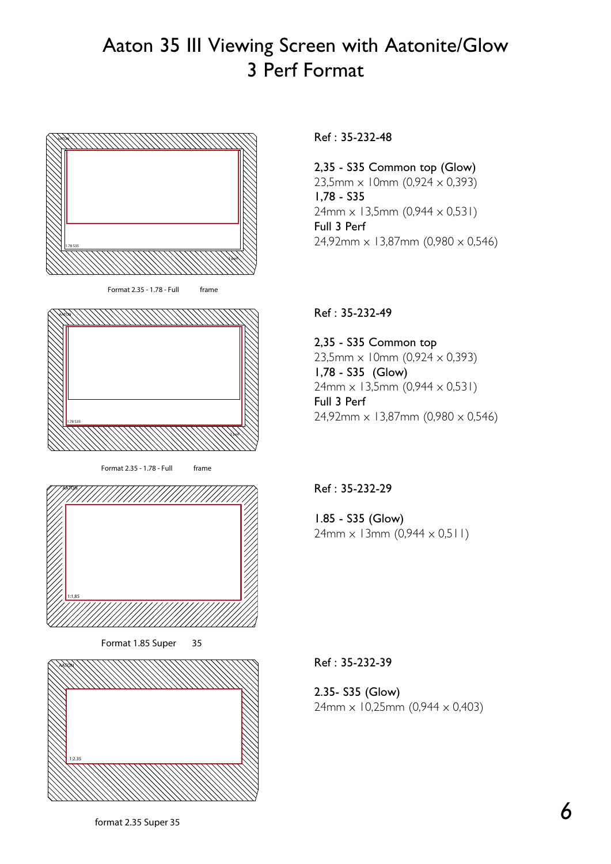## Aaton 35 III Viewing Screen with Aatonite/Glow 3 Perf Format



Ref : 35-232-48

2,35 - S35 Common top (Glow) 23,5mm  $\times$  10mm (0,924  $\times$  0,393) 1,78 - S35 24mm x 13,5mm (0,944 x 0,531) Full 3 Perf  $24,92$ mm  $\times$  13,87mm (0,980  $\times$  0,546)

### Ref : 35-232-49

2,35 - S35 Common top 23,5mm x 10mm (0,924 x 0,393) 1,78 - S35 (Glow) 24mm x 13,5mm (0,944 x 0,531) Full 3 Perf  $24,92$ mm  $\times$  13,87mm (0,980  $\times$  0,546)

#### Ref : 35-232-29

1.85 - S35 (Glow)  $24mm \times 13mm (0,944 \times 0,511)$ 

Ref : 35-232-39

2.35- S35 (Glow)  $24mm \times 10,25mm$  (0,944  $\times$  0,403)